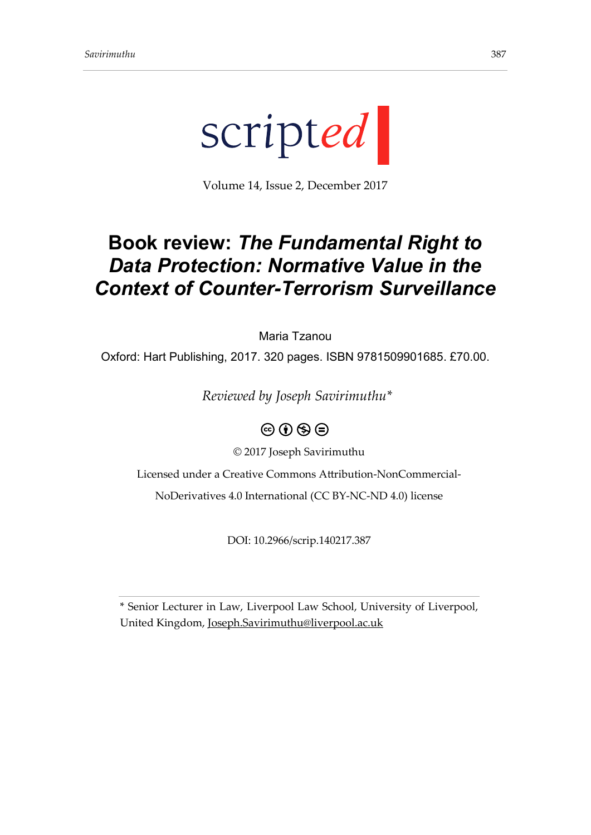

Volume 14, Issue 2, December 2017

## **Book review:** *The Fundamental Right to Data Protection: Normative Value in the Context of Counter-Terrorism Surveillance*

Maria Tzanou

Oxford: Hart Publishing, 2017. 320 pages. ISBN 9781509901685. £70.00.

*Reviewed by Joseph Savirimuthu\**



© 2017 Joseph Savirimuthu

Licensed under a Creative Commons Attribution-NonCommercial-

NoDerivatives 4.0 International (CC BY-NC-ND 4.0) license

DOI: 10.2966/scrip.140217.387

\* Senior Lecturer in Law, Liverpool Law School, University of Liverpool, United Kingdom, [Joseph.Savirimuthu@liverpool.ac.uk](mailto:Joseph.Savirimuthu@liverpool.ac.uk)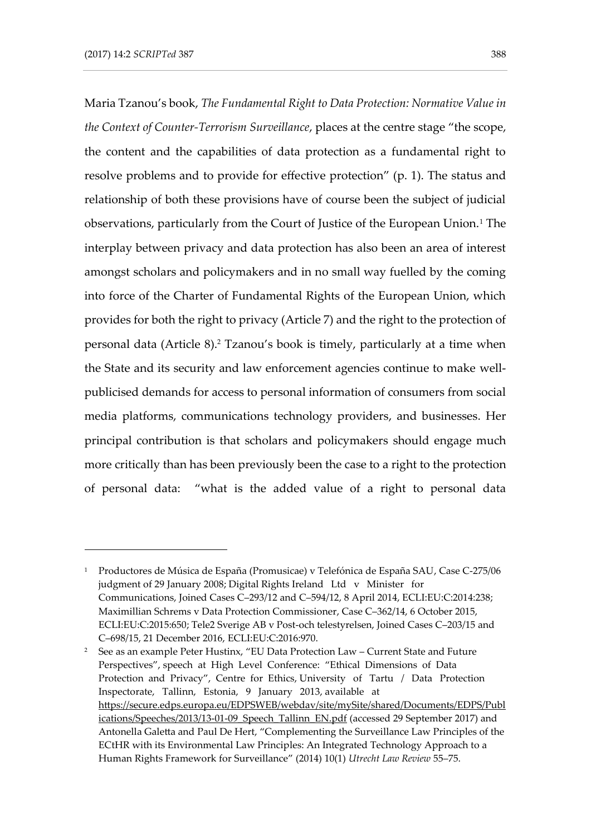-

Maria Tzanou's book, *The Fundamental Right to Data Protection: Normative Value in the Context of Counter-Terrorism Surveillance*, places at the centre stage "the scope, the content and the capabilities of data protection as a fundamental right to resolve problems and to provide for effective protection" (p. 1). The status and relationship of both these provisions have of course been the subject of judicial observations, particularly from the Court of Justice of the European Union.<sup>1</sup> The interplay between privacy and data protection has also been an area of interest amongst scholars and policymakers and in no small way fuelled by the coming into force of the Charter of Fundamental Rights of the European Union, which provides for both the right to privacy (Article 7) and the right to the protection of personal data (Article 8). <sup>2</sup> Tzanou's book is timely, particularly at a time when the State and its security and law enforcement agencies continue to make wellpublicised demands for access to personal information of consumers from social media platforms, communications technology providers, and businesses. Her principal contribution is that scholars and policymakers should engage much more critically than has been previously been the case to a right to the protection of personal data: "what is the added value of a right to personal data

<sup>1</sup> Productores de Música de España (Promusicae) v Telefónica de España SAU, Case C-275/06 judgment of 29 January 2008; Digital Rights Ireland Ltd v Minister for Communications, Joined Cases C–293/12 and C–594/12, 8 April 2014, ECLI:EU:C:2014:238; Maximillian Schrems v Data Protection Commissioner, Case C–362/14, 6 October 2015, ECLI:EU:C:2015:650; Tele2 Sverige AB v Post-och telestyrelsen, Joined Cases C–203/15 and C–698/15, 21 December 2016, ECLI:EU:C:2016:970.

<sup>2</sup> See as an example Peter Hustinx, "EU Data Protection Law – Current State and Future Perspectives", speech at High Level Conference: "Ethical Dimensions of Data Protection and Privacy", Centre for Ethics, University of Tartu / Data Protection Inspectorate, Tallinn, Estonia, 9 January 2013, available at [https://secure.edps.europa.eu/EDPSWEB/webdav/site/mySite/shared/Documents/EDPS/Publ](https://secure.edps.europa.eu/EDPSWEB/webdav/site/mySite/shared/Documents/EDPS/Publications/Speeches/2013/13-01-09_Speech_Tallinn_EN.pdf) [ications/Speeches/2013/13-01-09\\_Speech\\_Tallinn\\_EN.pdf](https://secure.edps.europa.eu/EDPSWEB/webdav/site/mySite/shared/Documents/EDPS/Publications/Speeches/2013/13-01-09_Speech_Tallinn_EN.pdf) (accessed 29 September 2017) and Antonella Galetta and Paul De Hert, "Complementing the Surveillance Law Principles of the ECtHR with its Environmental Law Principles: An Integrated Technology Approach to a Human Rights Framework for Surveillance" (2014) 10(1) *Utrecht Law Review* 55–75.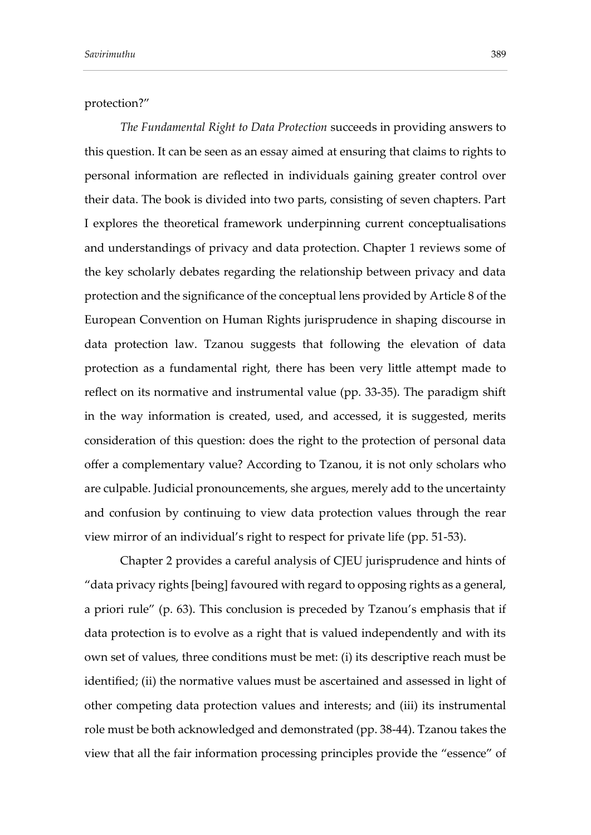protection?"

*The Fundamental Right to Data Protection* succeeds in providing answers to this question. It can be seen as an essay aimed at ensuring that claims to rights to personal information are reflected in individuals gaining greater control over their data. The book is divided into two parts, consisting of seven chapters. Part I explores the theoretical framework underpinning current conceptualisations and understandings of privacy and data protection. Chapter 1 reviews some of the key scholarly debates regarding the relationship between privacy and data protection and the significance of the conceptual lens provided by Article 8 of the European Convention on Human Rights jurisprudence in shaping discourse in data protection law. Tzanou suggests that following the elevation of data protection as a fundamental right, there has been very little attempt made to reflect on its normative and instrumental value (pp. 33-35). The paradigm shift in the way information is created, used, and accessed, it is suggested, merits consideration of this question: does the right to the protection of personal data offer a complementary value? According to Tzanou, it is not only scholars who are culpable. Judicial pronouncements, she argues, merely add to the uncertainty and confusion by continuing to view data protection values through the rear view mirror of an individual's right to respect for private life (pp. 51-53).

Chapter 2 provides a careful analysis of CJEU jurisprudence and hints of "data privacy rights [being] favoured with regard to opposing rights as a general, a priori rule" (p. 63). This conclusion is preceded by Tzanou's emphasis that if data protection is to evolve as a right that is valued independently and with its own set of values, three conditions must be met: (i) its descriptive reach must be identified; (ii) the normative values must be ascertained and assessed in light of other competing data protection values and interests; and (iii) its instrumental role must be both acknowledged and demonstrated (pp. 38-44). Tzanou takes the view that all the fair information processing principles provide the "essence" of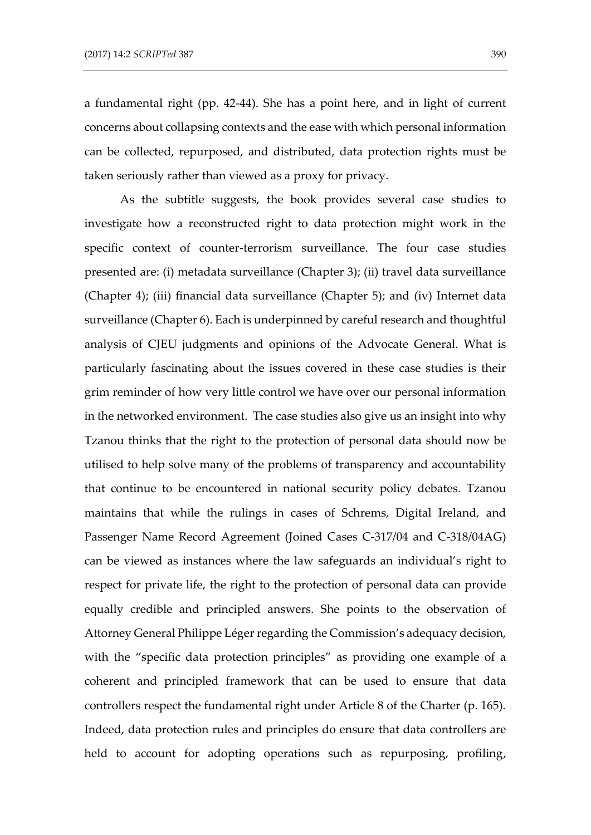a fundamental right (pp. 42-44). She has a point here, and in light of current concerns about collapsing contexts and the ease with which personal information

can be collected, repurposed, and distributed, data protection rights must be taken seriously rather than viewed as a proxy for privacy.

As the subtitle suggests, the book provides several case studies to investigate how a reconstructed right to data protection might work in the specific context of counter-terrorism surveillance. The four case studies presented are: (i) metadata surveillance (Chapter 3); (ii) travel data surveillance (Chapter 4); (iii) financial data surveillance (Chapter 5); and (iv) Internet data surveillance (Chapter 6). Each is underpinned by careful research and thoughtful analysis of CJEU judgments and opinions of the Advocate General. What is particularly fascinating about the issues covered in these case studies is their grim reminder of how very little control we have over our personal information in the networked environment. The case studies also give us an insight into why Tzanou thinks that the right to the protection of personal data should now be utilised to help solve many of the problems of transparency and accountability that continue to be encountered in national security policy debates. Tzanou maintains that while the rulings in cases of Schrems, Digital Ireland, and Passenger Name Record Agreement (Joined Cases C-317/04 and C-318/04AG) can be viewed as instances where the law safeguards an individual's right to respect for private life, the right to the protection of personal data can provide equally credible and principled answers. She points to the observation of Attorney General Philippe Léger regarding the Commission's adequacy decision, with the "specific data protection principles" as providing one example of a coherent and principled framework that can be used to ensure that data controllers respect the fundamental right under Article 8 of the Charter (p. 165). Indeed, data protection rules and principles do ensure that data controllers are held to account for adopting operations such as repurposing, profiling,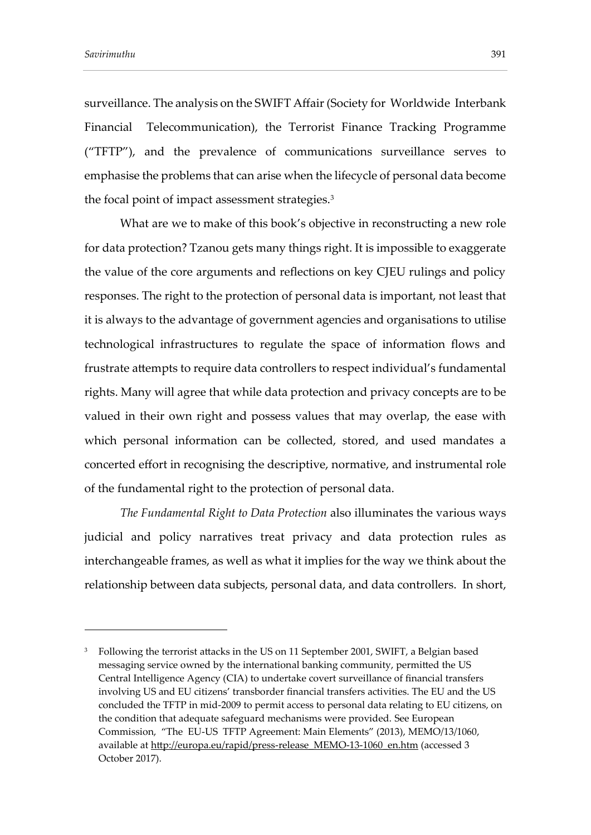-

surveillance. The analysis on the SWIFT Affair (Society for Worldwide Interbank Financial Telecommunication), the Terrorist Finance Tracking Programme ("TFTP"), and the prevalence of communications surveillance serves to emphasise the problems that can arise when the lifecycle of personal data become the focal point of impact assessment strategies.<sup>3</sup>

What are we to make of this book's objective in reconstructing a new role for data protection? Tzanou gets many things right. It is impossible to exaggerate the value of the core arguments and reflections on key CJEU rulings and policy responses. The right to the protection of personal data is important, not least that it is always to the advantage of government agencies and organisations to utilise technological infrastructures to regulate the space of information flows and frustrate attempts to require data controllers to respect individual's fundamental rights. Many will agree that while data protection and privacy concepts are to be valued in their own right and possess values that may overlap, the ease with which personal information can be collected, stored, and used mandates a concerted effort in recognising the descriptive, normative, and instrumental role of the fundamental right to the protection of personal data.

*The Fundamental Right to Data Protection* also illuminates the various ways judicial and policy narratives treat privacy and data protection rules as interchangeable frames, as well as what it implies for the way we think about the relationship between data subjects, personal data, and data controllers. In short,

<sup>&</sup>lt;sup>3</sup> Following the terrorist attacks in the US on 11 September 2001, SWIFT, a Belgian based messaging service owned by the international banking community, permitted the US Central Intelligence Agency (CIA) to undertake covert surveillance of financial transfers involving US and EU citizens' transborder financial transfers activities. The EU and the US concluded the TFTP in mid-2009 to permit access to personal data relating to EU citizens, on the condition that adequate safeguard mechanisms were provided. See European Commission, "The EU-US TFTP Agreement: Main Elements" (2013), MEMO/13/1060, available at [http://europa.eu/rapid/press-release\\_MEMO-13-1060\\_en.htm](http://europa.eu/rapid/press-release_MEMO-13-1060_en.htm) (accessed 3 October 2017).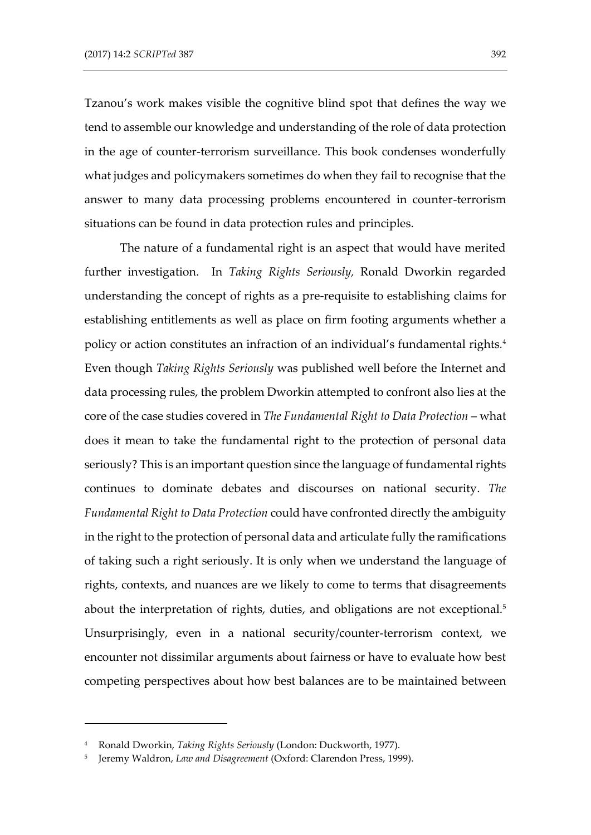Tzanou's work makes visible the cognitive blind spot that defines the way we tend to assemble our knowledge and understanding of the role of data protection in the age of counter-terrorism surveillance. This book condenses wonderfully what judges and policymakers sometimes do when they fail to recognise that the answer to many data processing problems encountered in counter-terrorism situations can be found in data protection rules and principles.

The nature of a fundamental right is an aspect that would have merited further investigation. In *Taking Rights Seriously,* Ronald Dworkin regarded understanding the concept of rights as a pre-requisite to establishing claims for establishing entitlements as well as place on firm footing arguments whether a policy or action constitutes an infraction of an individual's fundamental rights*.* 4 Even though *Taking Rights Seriously* was published well before the Internet and data processing rules, the problem Dworkin attempted to confront also lies at the core of the case studies covered in *The Fundamental Right to Data Protection* – what does it mean to take the fundamental right to the protection of personal data seriously? This is an important question since the language of fundamental rights continues to dominate debates and discourses on national security. *The Fundamental Right to Data Protection* could have confronted directly the ambiguity in the right to the protection of personal data and articulate fully the ramifications of taking such a right seriously. It is only when we understand the language of rights, contexts, and nuances are we likely to come to terms that disagreements about the interpretation of rights, duties, and obligations are not exceptional.<sup>5</sup> Unsurprisingly, even in a national security/counter-terrorism context, we encounter not dissimilar arguments about fairness or have to evaluate how best competing perspectives about how best balances are to be maintained between

-

<sup>4</sup> Ronald Dworkin, *Taking Rights Seriously* (London: Duckworth, 1977).

<sup>5</sup> Jeremy Waldron, *Law and Disagreement* (Oxford: Clarendon Press, 1999).